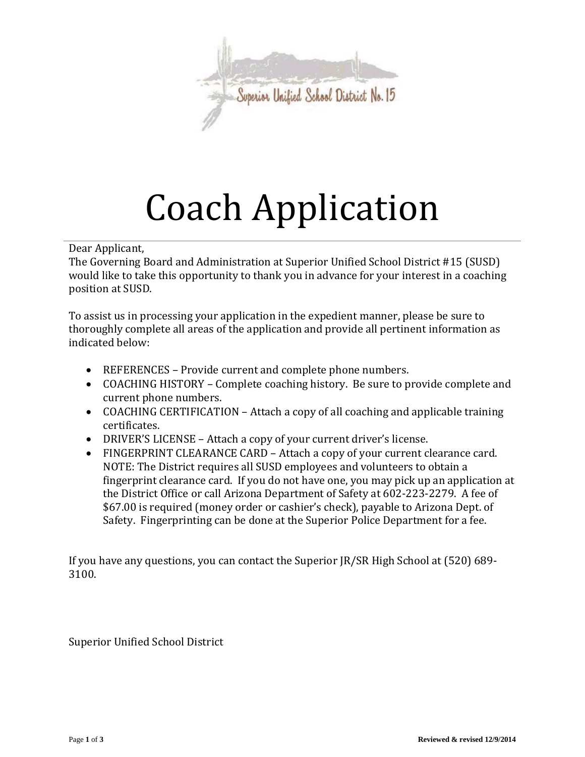

# Coach Application

Dear Applicant,

The Governing Board and Administration at Superior Unified School District #15 (SUSD) would like to take this opportunity to thank you in advance for your interest in a coaching position at SUSD.

To assist us in processing your application in the expedient manner, please be sure to thoroughly complete all areas of the application and provide all pertinent information as indicated below:

- REFERENCES Provide current and complete phone numbers.
- COACHING HISTORY Complete coaching history. Be sure to provide complete and current phone numbers.
- COACHING CERTIFICATION Attach a copy of all coaching and applicable training certificates.
- DRIVER'S LICENSE Attach a copy of your current driver's license.
- FINGERPRINT CLEARANCE CARD Attach a copy of your current clearance card. NOTE: The District requires all SUSD employees and volunteers to obtain a fingerprint clearance card. If you do not have one, you may pick up an application at the District Office or call Arizona Department of Safety at 602-223-2279. A fee of \$67.00 is required (money order or cashier's check), payable to Arizona Dept. of Safety. Fingerprinting can be done at the Superior Police Department for a fee.

If you have any questions, you can contact the Superior JR/SR High School at (520) 689- 3100.

Superior Unified School District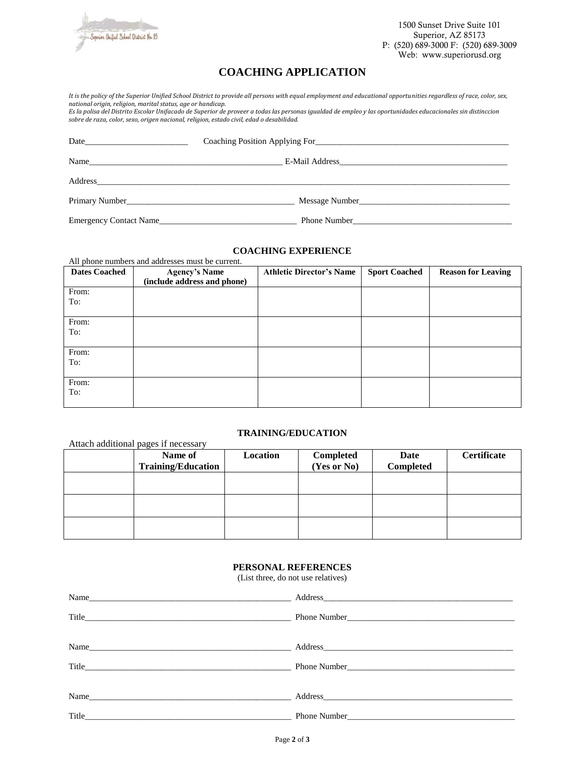

1500 Sunset Drive Suite 101 Superior, AZ 85173 P: (520) 689-3000 F: (520) 689-3009 Web: www.superiorusd.org

## **COACHING APPLICATION**

*It is the policy of the Superior Unified School District to provide all persons with equal employment and educational opportunities regardless of race, color, sex, national origin, religion, marital status, age or handicap.* 

*Es la polisa del Distrito Escolar Unifacado de Superior de proveer a todas las personas igualdad de empleo y las oportunidades educacionales sin distinccion sobre de raza, color, sexo, origen nacional, religion, estado civil, edad o desabilidad.* 

| Address and the contract of the contract of the contract of the contract of the contract of the contract of the contract of the contract of the contract of the contract of the contract of the contract of the contract of th |                |  |
|--------------------------------------------------------------------------------------------------------------------------------------------------------------------------------------------------------------------------------|----------------|--|
|                                                                                                                                                                                                                                | Message Number |  |
| <b>Emergency Contact Name</b>                                                                                                                                                                                                  | Phone Number   |  |

### **COACHING EXPERIENCE**

All phone numbers and addresses must be current.

| <b>Dates Coached</b> | <b>Agency's Name</b><br>(include address and phone) | <b>Athletic Director's Name</b> | <b>Sport Coached</b> | <b>Reason for Leaving</b> |
|----------------------|-----------------------------------------------------|---------------------------------|----------------------|---------------------------|
| From:<br>To:         |                                                     |                                 |                      |                           |
| From:<br>To:         |                                                     |                                 |                      |                           |
| From:<br>To:         |                                                     |                                 |                      |                           |
| From:<br>To:         |                                                     |                                 |                      |                           |

### **TRAINING/EDUCATION**

| Attach additional pages if necessary |                                      |          |                          |                   |                    |
|--------------------------------------|--------------------------------------|----------|--------------------------|-------------------|--------------------|
|                                      | Name of<br><b>Training/Education</b> | Location | Completed<br>(Yes or No) | Date<br>Completed | <b>Certificate</b> |
|                                      |                                      |          |                          |                   |                    |
|                                      |                                      |          |                          |                   |                    |
|                                      |                                      |          |                          |                   |                    |

#### **PERSONAL REFERENCES**

(List three, do not use relatives)

| Name                                                                                                                                                                                                                           |                                             |
|--------------------------------------------------------------------------------------------------------------------------------------------------------------------------------------------------------------------------------|---------------------------------------------|
|                                                                                                                                                                                                                                |                                             |
|                                                                                                                                                                                                                                |                                             |
| Name                                                                                                                                                                                                                           |                                             |
|                                                                                                                                                                                                                                |                                             |
|                                                                                                                                                                                                                                |                                             |
| Name and the contract of the contract of the contract of the contract of the contract of the contract of the contract of the contract of the contract of the contract of the contract of the contract of the contract of the c |                                             |
| Title                                                                                                                                                                                                                          | Phone Number <b>Exercise 2</b> Phone Number |